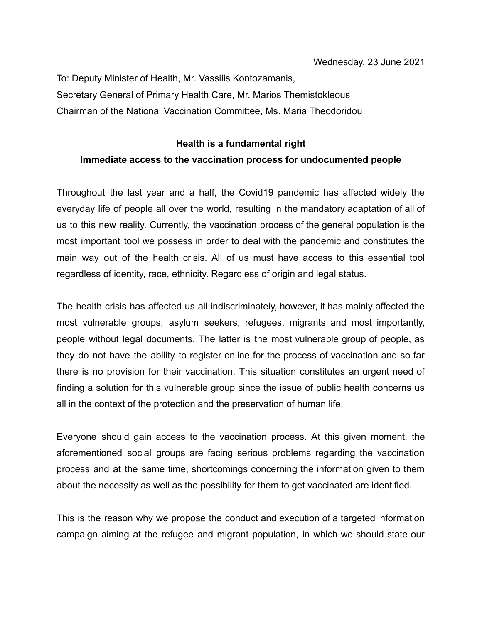To: Deputy Minister of Health, Mr. Vassilis Kontozamanis, Secretary General of Primary Health Care, Mr. Marios Themistokleous Chairman of the National Vaccination Committee, Ms. Maria Theodoridou

## **Health is a fundamental right Immediate access to the vaccination process for undocumented people**

Throughout the last year and a half, the Covid19 pandemic has affected widely the everyday life of people all over the world, resulting in the mandatory adaptation of all of us to this new reality. Currently, the vaccination process of the general population is the most important tool we possess in order to deal with the pandemic and constitutes the main way out of the health crisis. All of us must have access to this essential tool regardless of identity, race, ethnicity. Regardless of origin and legal status.

The health crisis has affected us all indiscriminately, however, it has mainly affected the most vulnerable groups, asylum seekers, refugees, migrants and most importantly, people without legal documents. The latter is the most vulnerable group of people, as they do not have the ability to register online for the process of vaccination and so far there is no provision for their vaccination. This situation constitutes an urgent need of finding a solution for this vulnerable group since the issue of public health concerns us all in the context of the protection and the preservation of human life.

Everyone should gain access to the vaccination process. At this given moment, the aforementioned social groups are facing serious problems regarding the vaccination process and at the same time, shortcomings concerning the information given to them about the necessity as well as the possibility for them to get vaccinated are identified.

This is the reason why we propose the conduct and execution of a targeted information campaign aiming at the refugee and migrant population, in which we should state our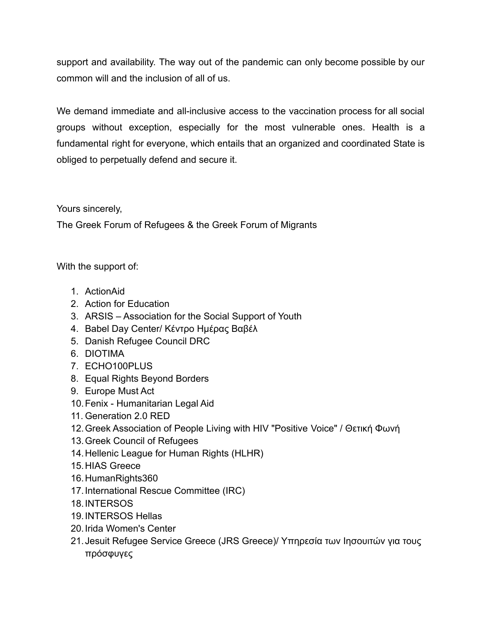support and availability. The way out of the pandemic can only become possible by our common will and the inclusion of all of us.

We demand immediate and all-inclusive access to the vaccination process for all social groups without exception, especially for the most vulnerable ones. Health is a fundamental right for everyone, which entails that an organized and coordinated State is obliged to perpetually defend and secure it.

## Yours sincerely,

The Greek Forum of Refugees & the Greek Forum of Migrants

With the support of:

- 1. ActionAid
- 2. Action for Education
- 3. ARSIS Association for the Social Support of Youth
- 4. Babel Day Center/ Κέντρο Ημέρας Βαβέλ
- 5. Danish Refugee Council DRC
- 6. DIOTIMA
- 7. ECHO100PLUS
- 8. Equal Rights Beyond Borders
- 9. Europe Must Act
- 10.Fenix Humanitarian Legal Aid
- 11. Generation 2.0 RED
- 12.Greek Association of People Living with HIV "Positive Voice" / Θετική Φωνή
- 13.Greek Council of Refugees
- 14.Hellenic League for Human Rights (HLHR)
- 15.HIAS Greece
- 16.HumanRights360
- 17.International Rescue Committee (IRC)
- 18.INTERSOS
- 19.INTERSOS Hellas
- 20.Irida Women's Center
- 21.Jesuit Refugee Service Greece (JRS Greece)/ Υπηρεσία των Ιησουιτών για τους πρόσφυγες